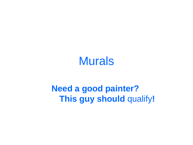### **Murals**

### **Need a good painter? This guy should** qualify**!**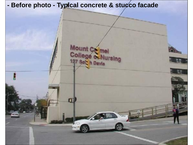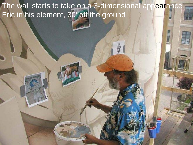The wall starts to take on a 3-dimensional appearance Eric in his element, 30' off the ground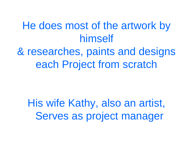He does most of the artwork by himself & researches, paints and designs each Project from scratch

His wife Kathy, also an artist, Serves as project manager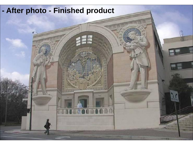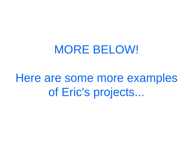# MORE BELOW!

# Here are some more examples of Eric's projects...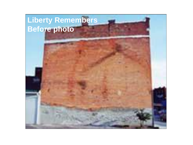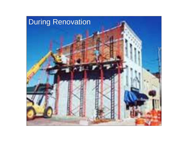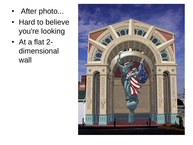- After photo...
- Hard to believe you're looking
- At a flat 2 dimensional wall

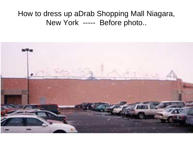#### How to dress up aDrab Shopping Mall Niagara, New York ----- Before photo..

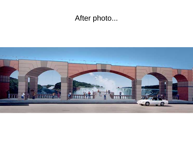#### After photo...

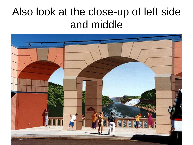## Also look at the close-up of left side and middle

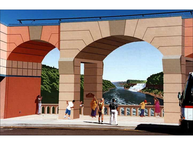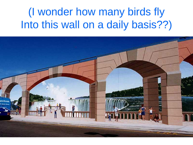## (I wonder how many birds fly Into this wall on a daily basis??)

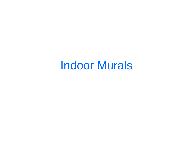Indoor Murals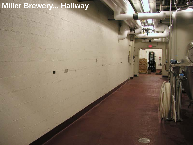### **Miller Brewery... Hallway**

鼻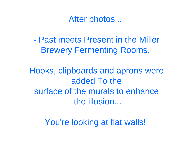After photos...

- Past meets Present in the Miller Brewery Fermenting Rooms.

Hooks, clipboards and aprons were added To the surface of the murals to enhance the illusion...

You're looking at flat walls!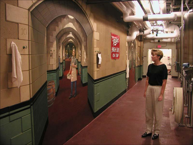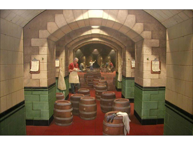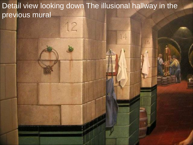#### Detail view looking down The illusional hallway in the previous mural

14

 $12$